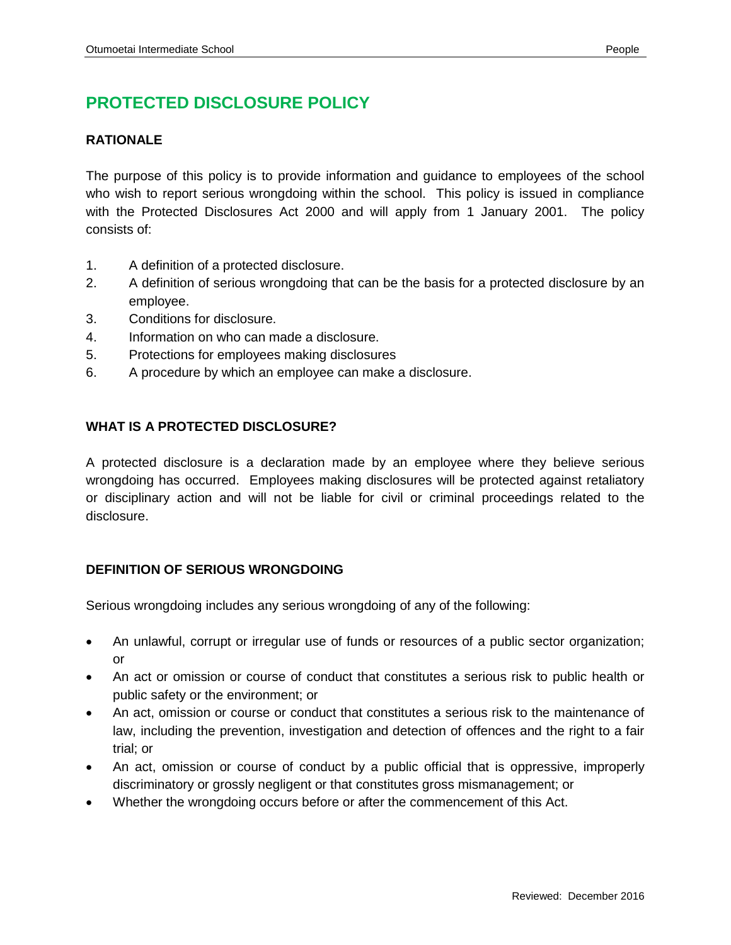# **PROTECTED DISCLOSURE POLICY**

### **RATIONALE**

The purpose of this policy is to provide information and guidance to employees of the school who wish to report serious wrongdoing within the school. This policy is issued in compliance with the Protected Disclosures Act 2000 and will apply from 1 January 2001. The policy consists of:

- 1. A definition of a protected disclosure.
- 2. A definition of serious wrongdoing that can be the basis for a protected disclosure by an employee.
- 3. Conditions for disclosure.
- 4. Information on who can made a disclosure.
- 5. Protections for employees making disclosures
- 6. A procedure by which an employee can make a disclosure.

### **WHAT IS A PROTECTED DISCLOSURE?**

A protected disclosure is a declaration made by an employee where they believe serious wrongdoing has occurred. Employees making disclosures will be protected against retaliatory or disciplinary action and will not be liable for civil or criminal proceedings related to the disclosure.

#### **DEFINITION OF SERIOUS WRONGDOING**

Serious wrongdoing includes any serious wrongdoing of any of the following:

- An unlawful, corrupt or irregular use of funds or resources of a public sector organization; or
- An act or omission or course of conduct that constitutes a serious risk to public health or public safety or the environment; or
- An act, omission or course or conduct that constitutes a serious risk to the maintenance of law, including the prevention, investigation and detection of offences and the right to a fair trial; or
- An act, omission or course of conduct by a public official that is oppressive, improperly discriminatory or grossly negligent or that constitutes gross mismanagement; or
- Whether the wrongdoing occurs before or after the commencement of this Act.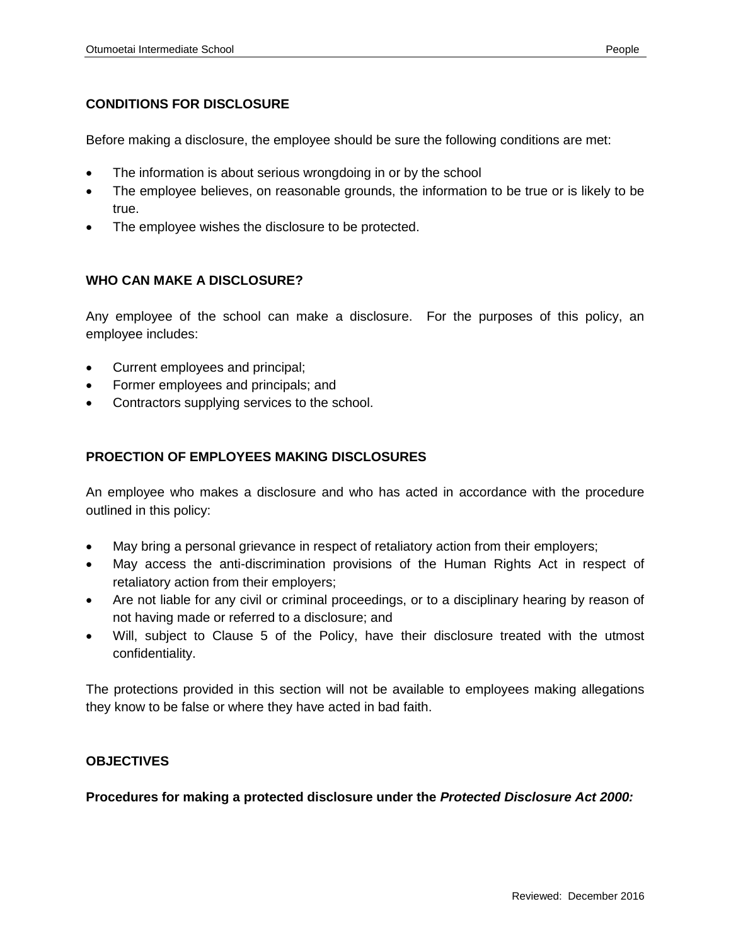#### **CONDITIONS FOR DISCLOSURE**

Before making a disclosure, the employee should be sure the following conditions are met:

- The information is about serious wrongdoing in or by the school
- The employee believes, on reasonable grounds, the information to be true or is likely to be true.
- The employee wishes the disclosure to be protected.

#### **WHO CAN MAKE A DISCLOSURE?**

Any employee of the school can make a disclosure. For the purposes of this policy, an employee includes:

- Current employees and principal;
- Former employees and principals; and
- Contractors supplying services to the school.

#### **PROECTION OF EMPLOYEES MAKING DISCLOSURES**

An employee who makes a disclosure and who has acted in accordance with the procedure outlined in this policy:

- May bring a personal grievance in respect of retaliatory action from their employers;
- May access the anti-discrimination provisions of the Human Rights Act in respect of retaliatory action from their employers;
- Are not liable for any civil or criminal proceedings, or to a disciplinary hearing by reason of not having made or referred to a disclosure; and
- Will, subject to Clause 5 of the Policy, have their disclosure treated with the utmost confidentiality.

The protections provided in this section will not be available to employees making allegations they know to be false or where they have acted in bad faith.

#### **OBJECTIVES**

**Procedures for making a protected disclosure under the** *Protected Disclosure Act 2000:*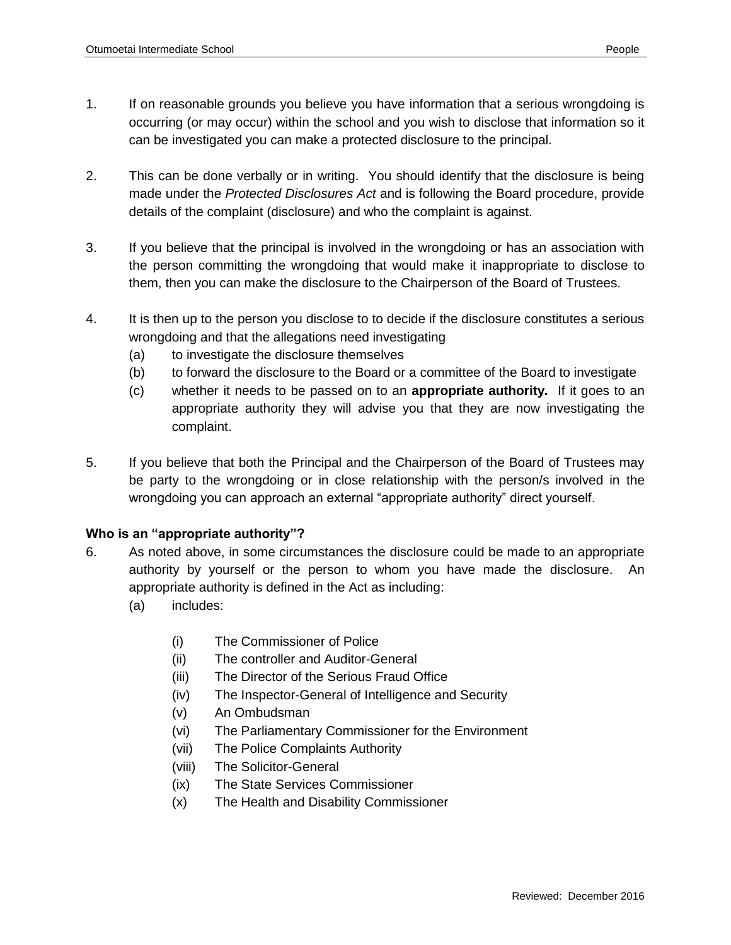- 1. If on reasonable grounds you believe you have information that a serious wrongdoing is occurring (or may occur) within the school and you wish to disclose that information so it can be investigated you can make a protected disclosure to the principal.
- 2. This can be done verbally or in writing. You should identify that the disclosure is being made under the *Protected Disclosures Act* and is following the Board procedure, provide details of the complaint (disclosure) and who the complaint is against.
- 3. If you believe that the principal is involved in the wrongdoing or has an association with the person committing the wrongdoing that would make it inappropriate to disclose to them, then you can make the disclosure to the Chairperson of the Board of Trustees.
- 4. It is then up to the person you disclose to to decide if the disclosure constitutes a serious wrongdoing and that the allegations need investigating
	- (a) to investigate the disclosure themselves
	- (b) to forward the disclosure to the Board or a committee of the Board to investigate
	- (c) whether it needs to be passed on to an **appropriate authority.** If it goes to an appropriate authority they will advise you that they are now investigating the complaint.
- 5. If you believe that both the Principal and the Chairperson of the Board of Trustees may be party to the wrongdoing or in close relationship with the person/s involved in the wrongdoing you can approach an external "appropriate authority" direct yourself.

## **Who is an "appropriate authority"?**

- 6. As noted above, in some circumstances the disclosure could be made to an appropriate authority by yourself or the person to whom you have made the disclosure. An appropriate authority is defined in the Act as including:
	- (a) includes:
		- (i) The Commissioner of Police
		- (ii) The controller and Auditor-General
		- (iii) The Director of the Serious Fraud Office
		- (iv) The Inspector-General of Intelligence and Security
		- (v) An Ombudsman
		- (vi) The Parliamentary Commissioner for the Environment
		- (vii) The Police Complaints Authority
		- (viii) The Solicitor-General
		- (ix) The State Services Commissioner
		- (x) The Health and Disability Commissioner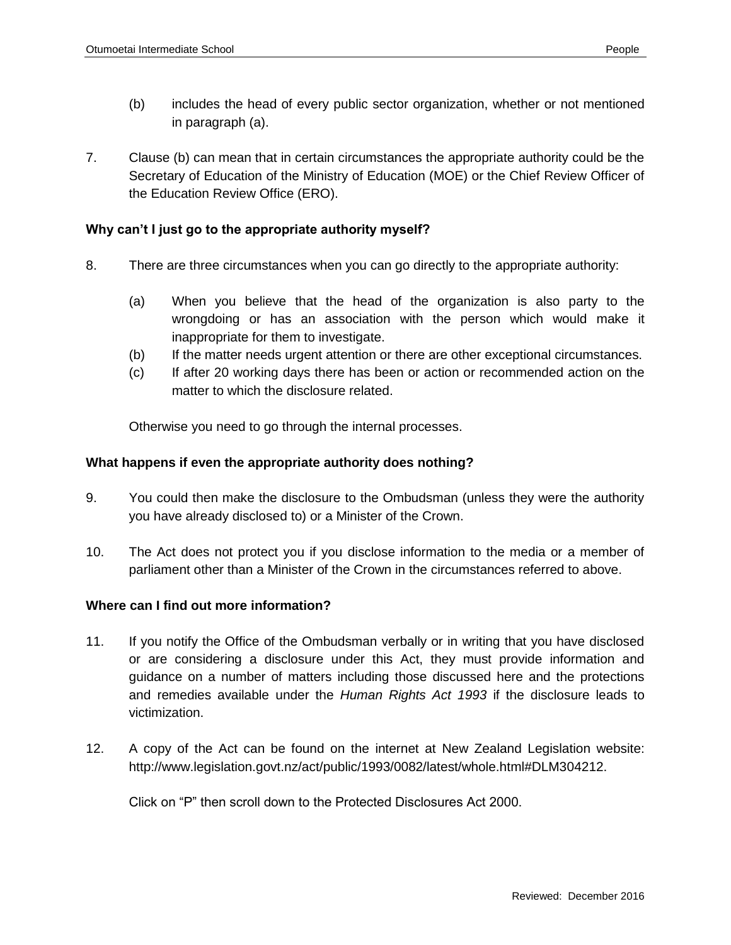- (b) includes the head of every public sector organization, whether or not mentioned in paragraph (a).
- 7. Clause (b) can mean that in certain circumstances the appropriate authority could be the Secretary of Education of the Ministry of Education (MOE) or the Chief Review Officer of the Education Review Office (ERO).

#### **Why can't I just go to the appropriate authority myself?**

- 8. There are three circumstances when you can go directly to the appropriate authority:
	- (a) When you believe that the head of the organization is also party to the wrongdoing or has an association with the person which would make it inappropriate for them to investigate.
	- (b) If the matter needs urgent attention or there are other exceptional circumstances.
	- (c) If after 20 working days there has been or action or recommended action on the matter to which the disclosure related.

Otherwise you need to go through the internal processes.

#### **What happens if even the appropriate authority does nothing?**

- 9. You could then make the disclosure to the Ombudsman (unless they were the authority you have already disclosed to) or a Minister of the Crown.
- 10. The Act does not protect you if you disclose information to the media or a member of parliament other than a Minister of the Crown in the circumstances referred to above.

#### **Where can I find out more information?**

- 11. If you notify the Office of the Ombudsman verbally or in writing that you have disclosed or are considering a disclosure under this Act, they must provide information and guidance on a number of matters including those discussed here and the protections and remedies available under the *Human Rights Act 1993* if the disclosure leads to victimization.
- 12. A copy of the Act can be found on the internet at New Zealand Legislation website: http://www.legislation.govt.nz/act/public/1993/0082/latest/whole.html#DLM304212.

Click on "P" then scroll down to the Protected Disclosures Act 2000.